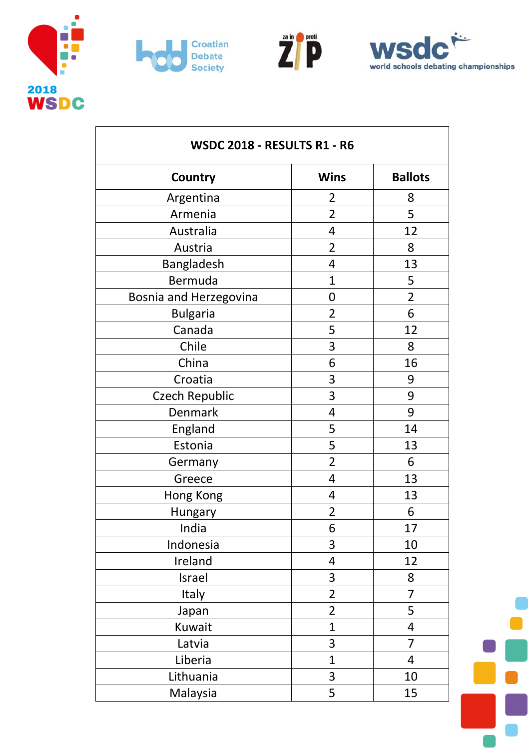







| <b>WSDC 2018 - RESULTS R1 - R6</b> |                         |                |
|------------------------------------|-------------------------|----------------|
| Country                            | <b>Wins</b>             | <b>Ballots</b> |
| Argentina                          | $\overline{2}$          | 8              |
| Armenia                            | $\overline{2}$          | 5              |
| Australia                          | $\overline{\mathbf{4}}$ | 12             |
| Austria                            | $\overline{2}$          | 8              |
| Bangladesh                         | 4                       | 13             |
| Bermuda                            | 1                       | 5              |
| Bosnia and Herzegovina             | 0                       | $\overline{2}$ |
| <b>Bulgaria</b>                    | $\overline{2}$          | 6              |
| Canada                             | 5                       | 12             |
| Chile                              | 3                       | 8              |
| China                              | 6                       | 16             |
| Croatia                            | 3                       | 9              |
| <b>Czech Republic</b>              | 3                       | 9              |
| Denmark                            | $\overline{4}$          | 9              |
| England                            | 5                       | 14             |
| Estonia                            | 5                       | 13             |
| Germany                            | $\overline{2}$          | 6              |
| Greece                             | 4                       | 13             |
| Hong Kong                          | 4                       | 13             |
| Hungary                            | $\overline{2}$          | 6              |
| India                              | 6                       | 17             |
| Indonesia                          | 3                       | 10             |
| Ireland                            | 4                       | 12             |
| Israel                             | 3                       | 8              |
| Italy                              | $\overline{2}$          | $\overline{7}$ |
| Japan                              | $\overline{2}$          | 5              |
| Kuwait                             | $\mathbf{1}$            | 4              |
| Latvia                             | 3                       | 7              |
| Liberia                            | $\mathbf{1}$            | 4              |
| Lithuania                          | 3                       | 10             |
| Malaysia                           | 5                       | 15             |